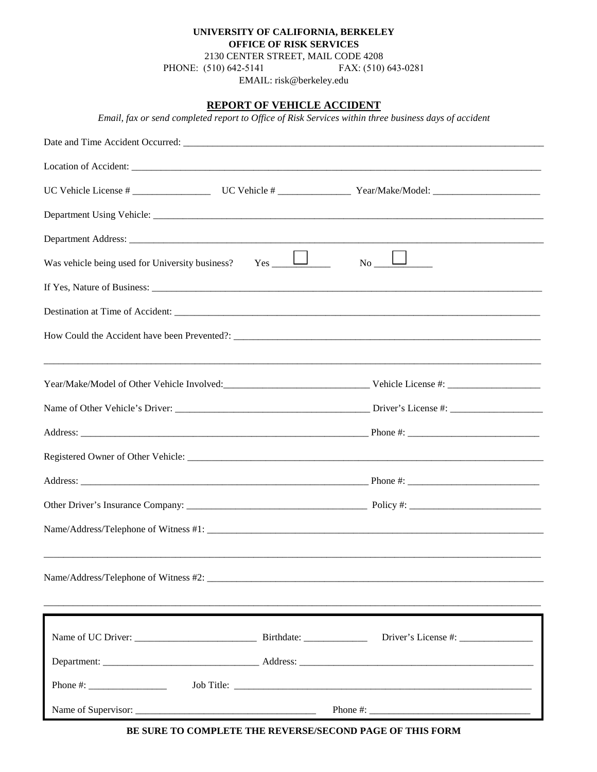## **UNIVERSITY OF CALIFORNIA, BERKELEY OFFICE OF RISK SERVICES** 2130 CENTER STREET, MAIL CODE 4208

PHONE: (510) 642-5141 FAX: (510) 643-0281

EMAIL: risk@berkeley.edu

## **REPORT OF VEHICLE ACCIDENT**

*Email, fax or send completed report to Office of Risk Services within three business days of accident*

| Was vehicle being used for University business?                                                                                                                                                                                                                                                        | $Yes$ $\Box$ | $\Box$<br>No No |  |  |  |  |
|--------------------------------------------------------------------------------------------------------------------------------------------------------------------------------------------------------------------------------------------------------------------------------------------------------|--------------|-----------------|--|--|--|--|
|                                                                                                                                                                                                                                                                                                        |              |                 |  |  |  |  |
|                                                                                                                                                                                                                                                                                                        |              |                 |  |  |  |  |
|                                                                                                                                                                                                                                                                                                        |              |                 |  |  |  |  |
|                                                                                                                                                                                                                                                                                                        |              |                 |  |  |  |  |
|                                                                                                                                                                                                                                                                                                        |              |                 |  |  |  |  |
|                                                                                                                                                                                                                                                                                                        |              |                 |  |  |  |  |
|                                                                                                                                                                                                                                                                                                        |              |                 |  |  |  |  |
|                                                                                                                                                                                                                                                                                                        |              |                 |  |  |  |  |
|                                                                                                                                                                                                                                                                                                        |              |                 |  |  |  |  |
|                                                                                                                                                                                                                                                                                                        |              |                 |  |  |  |  |
|                                                                                                                                                                                                                                                                                                        |              |                 |  |  |  |  |
|                                                                                                                                                                                                                                                                                                        |              |                 |  |  |  |  |
|                                                                                                                                                                                                                                                                                                        |              |                 |  |  |  |  |
|                                                                                                                                                                                                                                                                                                        |              |                 |  |  |  |  |
|                                                                                                                                                                                                                                                                                                        |              |                 |  |  |  |  |
|                                                                                                                                                                                                                                                                                                        |              |                 |  |  |  |  |
|                                                                                                                                                                                                                                                                                                        |              |                 |  |  |  |  |
| Phone #: $\frac{1}{2}$ = $\frac{1}{2}$ = $\frac{1}{2}$ = $\frac{1}{2}$ = $\frac{1}{2}$ = $\frac{1}{2}$ = $\frac{1}{2}$ = $\frac{1}{2}$ = $\frac{1}{2}$ = $\frac{1}{2}$ = $\frac{1}{2}$ = $\frac{1}{2}$ = $\frac{1}{2}$ = $\frac{1}{2}$ = $\frac{1}{2}$ = $\frac{1}{2}$ = $\frac{1}{2}$ = $\frac{1}{2}$ |              | Job Title:      |  |  |  |  |
|                                                                                                                                                                                                                                                                                                        |              |                 |  |  |  |  |

**BE SURE TO COMPLETE THE REVERSE/SECOND PAGE OF THIS FORM**